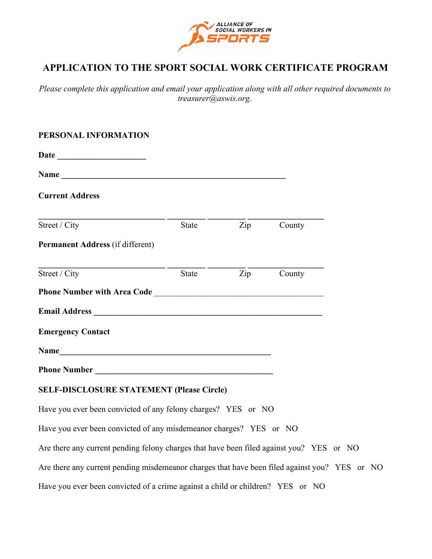

# **APPLICATION TO THE SPORT SOCIAL WORK CERTIFICATE PROGRAM**

*Please complete this application and email your application along with all other required documents to treasurer@aswis.org.* 

#### **PERSONAL INFORMATION**

| <b>Current Address</b>                                                                                                                                                                                                         |       |                         |  |
|--------------------------------------------------------------------------------------------------------------------------------------------------------------------------------------------------------------------------------|-------|-------------------------|--|
| Street / City                                                                                                                                                                                                                  | State | Zip County              |  |
| Permanent Address (if different)                                                                                                                                                                                               |       |                         |  |
| Street / City                                                                                                                                                                                                                  | State | $\overline{Zip}$ County |  |
|                                                                                                                                                                                                                                |       |                         |  |
| Email Address Land and the Community of the Community of the Community of the Community of the Community of the Community of the Community of the Community of the Community of the Community of the Community of the Communit |       |                         |  |
| <b>Emergency Contact</b>                                                                                                                                                                                                       |       |                         |  |
| Name                                                                                                                                                                                                                           |       |                         |  |
|                                                                                                                                                                                                                                |       |                         |  |
| <b>SELF-DISCLOSURE STATEMENT (Please Circle)</b>                                                                                                                                                                               |       |                         |  |
| Have you ever been convicted of any felony charges? YES or NO                                                                                                                                                                  |       |                         |  |
| Have you ever been convicted of any misdemeanor charges? YES or NO                                                                                                                                                             |       |                         |  |
| Are there any current pending felony charges that have been filed against you? YES or NO                                                                                                                                       |       |                         |  |
| Are there any current pending misdemeanor charges that have been filed against you? YES or NO                                                                                                                                  |       |                         |  |
| Have you ever been convicted of a crime against a child or children? YES or NO                                                                                                                                                 |       |                         |  |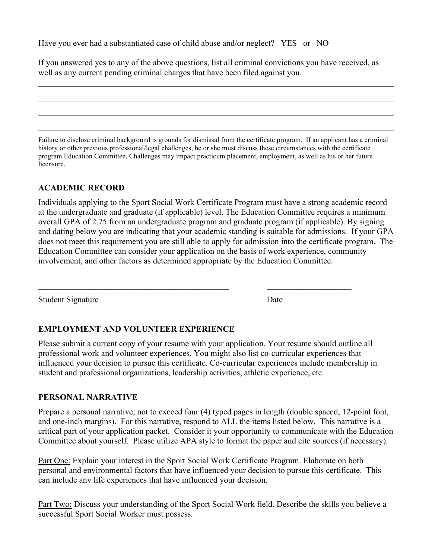Have you ever had a substantiated case of child abuse and/or neglect? YES or NO

If you answered yes to any of the above questions, list all criminal convictions you have received, as well as any current pending criminal charges that have been filed against you.

 $\_$  , and the contribution of the contribution of the contribution of the contribution of  $\mathcal{L}_\text{max}$ 

 $\_$  , and the contribution of the contribution of the contribution of the contribution of  $\mathcal{L}_\text{max}$ 

 $\_$  , and the contribution of the contribution of the contribution of the contribution of  $\mathcal{L}_\text{max}$ 

 $\_$  , and the contribution of the contribution of the contribution of the contribution of  $\mathcal{L}_\text{max}$ 

Failure to disclose criminal background is grounds for dismissal from the certificate program. If an applicant has a criminal history or other previous professional/legal challenges, he or she must discuss these circumstances with the certificate program Education Committee. Challenges may impact practicum placement, employment, as well as his or her future licensure.

#### **ACADEMIC RECORD**

Individuals applying to the Sport Social Work Certificate Program must have a strong academic record at the undergraduate and graduate (if applicable) level. The Education Committee requires a minimum overall GPA of 2.75 from an undergraduate program and graduate program (if applicable). By signing and dating below you are indicating that your academic standing is suitable for admissions. If your GPA does not meet this requirement you are still able to apply for admission into the certificate program. The Education Committee can consider your application on the basis of work experience, community involvement, and other factors as determined appropriate by the Education Committee.

Student Signature Date

## **EMPLOYMENT AND VOLUNTEER EXPERIENCE**

Please submit a current copy of your resume with your application. Your resume should outline all professional work and volunteer experiences. You might also list co-curricular experiences that influenced your decision to pursue this certificate. Co-curricular experiences include membership in student and professional organizations, leadership activities, athletic experience, etc.

 $\_$  , and the set of the set of the set of the set of the set of the set of the set of the set of the set of the set of the set of the set of the set of the set of the set of the set of the set of the set of the set of th

#### **PERSONAL NARRATIVE**

Prepare a personal narrative, not to exceed four (4) typed pages in length (double spaced, 12-point font, and one-inch margins). For this narrative, respond to ALL the items listed below. This narrative is a critical part of your application packet. Consider it your opportunity to communicate with the Education Committee about yourself. Please utilize APA style to format the paper and cite sources (if necessary).

Part One: Explain your interest in the Sport Social Work Certificate Program. Elaborate on both personal and environmental factors that have influenced your decision to pursue this certificate. This can include any life experiences that have influenced your decision.

Part Two: Discuss your understanding of the Sport Social Work field. Describe the skills you believe a successful Sport Social Worker must possess.